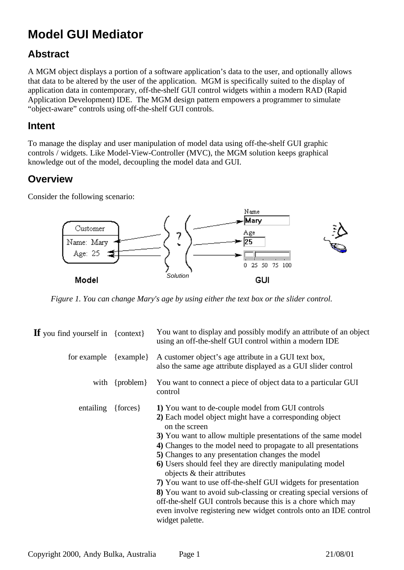# **Model GUI Mediator**

# **Abstract**

A MGM object displays a portion of a software application's data to the user, and optionally allows that data to be altered by the user of the application. MGM is specifically suited to the display of application data in contemporary, off-the-shelf GUI control widgets within a modern RAD (Rapid Application Development) IDE. The MGM design pattern empowers a programmer to simulate "object-aware" controls using off-the-shelf GUI controls.

### **Intent**

To manage the display and user manipulation of model data using off-the-shelf GUI graphic controls / widgets. Like Model-View-Controller (MVC), the MGM solution keeps graphical knowledge out of the model, decoupling the model data and GUI.

### **Overview**

Consider the following scenario:



*Figure 1. You can change Mary's age by using either the text box or the slider control.*

| $\mathbf{If}$ you find yourself in {context} |                    | You want to display and possibly modify an attribute of an object<br>using an off-the-shelf GUI control within a modern IDE                                                                                                                                                                                                                                                                                                                                                                                                                                                                                                                                                                                |
|----------------------------------------------|--------------------|------------------------------------------------------------------------------------------------------------------------------------------------------------------------------------------------------------------------------------------------------------------------------------------------------------------------------------------------------------------------------------------------------------------------------------------------------------------------------------------------------------------------------------------------------------------------------------------------------------------------------------------------------------------------------------------------------------|
| for example $\{example\}$                    |                    | A customer object's age attribute in a GUI text box,<br>also the same age attribute displayed as a GUI slider control                                                                                                                                                                                                                                                                                                                                                                                                                                                                                                                                                                                      |
|                                              | with $\{problem\}$ | You want to connect a piece of object data to a particular GUI<br>control                                                                                                                                                                                                                                                                                                                                                                                                                                                                                                                                                                                                                                  |
| entailing                                    | ${forces}$         | 1) You want to de-couple model from GUI controls<br>2) Each model object might have a corresponding object<br>on the screen<br>3) You want to allow multiple presentations of the same model<br>4) Changes to the model need to propagate to all presentations<br>5) Changes to any presentation changes the model<br>6) Users should feel they are directly manipulating model<br>objects & their attributes<br>7) You want to use off-the-shelf GUI widgets for presentation<br>8) You want to avoid sub-classing or creating special versions of<br>off-the-shelf GUI controls because this is a chore which may<br>even involve registering new widget controls onto an IDE control<br>widget palette. |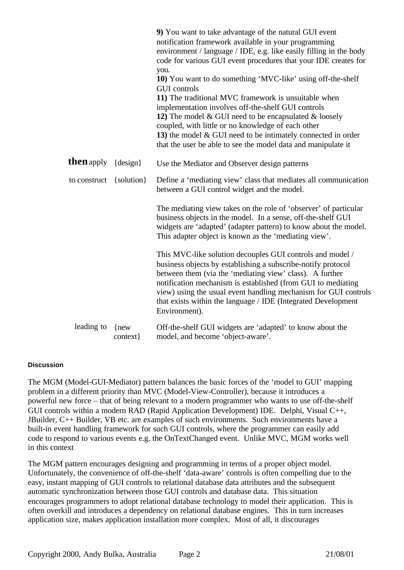|                   |                      | 9) You want to take advantage of the natural GUI event<br>notification framework available in your programming<br>environment / language / IDE, e.g. like easily filling in the body<br>code for various GUI event procedures that your IDE creates for<br>you.<br>10) You want to do something 'MVC-like' using off-the-shelf<br><b>GUI</b> controls<br>11) The traditional MVC framework is unsuitable when<br>implementation involves off-the-shelf GUI controls<br>12) The model $& GUI$ need to be encapsulated $&$ loosely<br>coupled, with little or no knowledge of each other<br>13) the model $& GUI$ need to be intimately connected in order<br>that the user be able to see the model data and manipulate it |
|-------------------|----------------------|---------------------------------------------------------------------------------------------------------------------------------------------------------------------------------------------------------------------------------------------------------------------------------------------------------------------------------------------------------------------------------------------------------------------------------------------------------------------------------------------------------------------------------------------------------------------------------------------------------------------------------------------------------------------------------------------------------------------------|
| <b>then</b> apply | $\{design\}$         | Use the Mediator and Observer design patterns                                                                                                                                                                                                                                                                                                                                                                                                                                                                                                                                                                                                                                                                             |
| to construct      | $\{solution\}$       | Define a 'mediating view' class that mediates all communication<br>between a GUI control widget and the model.                                                                                                                                                                                                                                                                                                                                                                                                                                                                                                                                                                                                            |
|                   |                      | The mediating view takes on the role of 'observer' of particular<br>business objects in the model. In a sense, off-the-shelf GUI<br>widgets are 'adapted' (adapter pattern) to know about the model.<br>This adapter object is known as the 'mediating view'.                                                                                                                                                                                                                                                                                                                                                                                                                                                             |
|                   |                      | This MVC-like solution decouples GUI controls and model /<br>business objects by establishing a subscribe-notify protocol<br>between them (via the 'mediating view' class). A further<br>notification mechanism is established (from GUI to mediating<br>view) using the usual event handling mechanism for GUI controls<br>that exists within the language / IDE (Integrated Development<br>Environment).                                                                                                                                                                                                                                                                                                                |
| leading to        | $\{new$<br>context } | Off-the-shelf GUI widgets are 'adapted' to know about the<br>model, and become 'object-aware'.                                                                                                                                                                                                                                                                                                                                                                                                                                                                                                                                                                                                                            |

#### **Discussion**

The MGM (Model-GUI-Mediator) pattern balances the basic forces of the 'model to GUI' mapping problem in a different priority than MVC (Model-View-Controller), because it introduces a powerful new force – that of being relevant to a modern programmer who wants to use off-the-shelf GUI controls within a modern RAD (Rapid Application Development) IDE. Delphi, Visual C++, JBuilder, C++ Builder, VB etc. are examples of such environments. Such environments have a built-in event handling framework for such GUI controls, where the programmer can easily add code to respond to various events e.g. the OnTextChanged event. Unlike MVC, MGM works well in this context

The MGM pattern encourages designing and programming in terms of a proper object model. Unfortunately, the convenience of off-the-shelf 'data-aware' controls is often compelling due to the easy, instant mapping of GUI controls to relational database data attributes and the subsequent automatic synchronization between those GUI controls and database data. This situation encourages programmers to adopt relational database technology to model their application. This is often overkill and introduces a dependency on relational database engines. This in turn increases application size, makes application installation more complex. Most of all, it discourages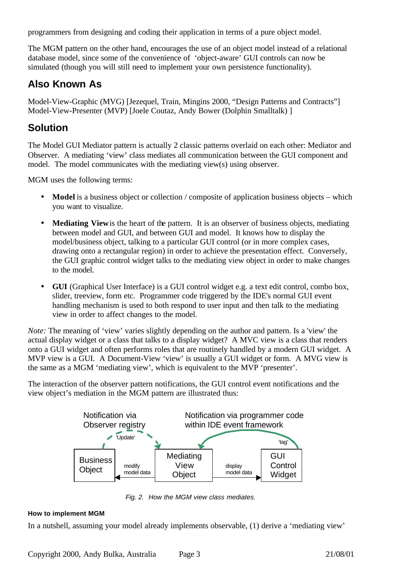programmers from designing and coding their application in terms of a pure object model.

The MGM pattern on the other hand, encourages the use of an object model instead of a relational database model, since some of the convenience of 'object-aware' GUI controls can now be simulated (though you will still need to implement your own persistence functionality).

# **Also Known As**

Model-View-Graphic (MVG) [Jezequel, Train, Mingins 2000, "Design Patterns and Contracts"] Model-View-Presenter (MVP) [Joele Coutaz, Andy Bower (Dolphin Smalltalk) ]

# **Solution**

The Model GUI Mediator pattern is actually 2 classic patterns overlaid on each other: Mediator and Observer. A mediating 'view' class mediates all communication between the GUI component and model. The model communicates with the mediating view(s) using observer.

MGM uses the following terms:

- **Model** is a business object or collection / composite of application business objects which you want to visualize.
- **Mediating View** is the heart of the pattern. It is an observer of business objects, mediating between model and GUI, and between GUI and model. It knows how to display the model/business object, talking to a particular GUI control (or in more complex cases, drawing onto a rectangular region) in order to achieve the presentation effect. Conversely, the GUI graphic control widget talks to the mediating view object in order to make changes to the model.
- **GUI** (Graphical User Interface) is a GUI control widget e.g. a text edit control, combo box, slider, treeview, form etc. Programmer code triggered by the IDE's normal GUI event handling mechanism is used to both respond to user input and then talk to the mediating view in order to affect changes to the model.

*Note:* The meaning of 'view' varies slightly depending on the author and pattern. Is a 'view' the actual display widget or a class that talks to a display widget? A MVC view is a class that renders onto a GUI widget and often performs roles that are routinely handled by a modern GUI widget. A MVP view is a GUI. A Document-View 'view' is usually a GUI widget or form. A MVG view is the same as a MGM 'mediating view', which is equivalent to the MVP 'presenter'.

The interaction of the observer pattern notifications, the GUI control event notifications and the view object's mediation in the MGM pattern are illustrated thus:



*Fig. 2. How the MGM view class mediates.*

### **How to implement MGM**

In a nutshell, assuming your model already implements observable, (1) derive a 'mediating view'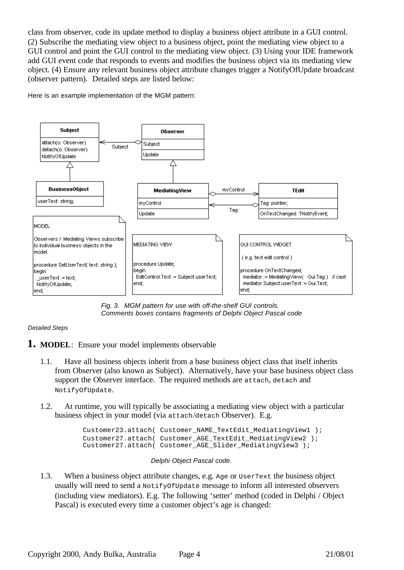class from observer, code its update method to display a business object attribute in a GUI control. (2) Subscribe the mediating view object to a business object, point the mediating view object to a GUI control and point the GUI control to the mediating view object. (3) Using your IDE framework add GUI event code that responds to events and modifies the business object via its mediating view object. (4) Ensure any relevant business object attribute changes trigger a NotifyOfUpdate broadcast (observer pattern). Detailed steps are listed below:

Here is an example implementation of the MGM pattern:



*Fig. 3. MGM pattern for use with off-the-shelf GUI controls. Comments boxes contains fragments of Delphi Object Pascal code*

### *Detailed Steps*

- **1.. MODEL**: Ensure your model implements observable
	- 1.1. Have all business objects inherit from a base business object class that itself inherits from Observer (also known as Subject). Alternatively, have your base business object class support the Observer interface. The required methods are attach, detach and NotifyOfUpdate.
	- 1.2. At runtime, you will typically be associating a mediating view object with a particular business object in your model (via attach/detach Observer). E.g.

```
Customer23.attach( Customer_NAME_TextEdit_MediatingView1 );
Customer27.attach( Customer_AGE_TextEdit_MediatingView2 );
Customer27.attach( Customer_AGE_Slider_MediatingView3 );
```
### *Delphi Object Pascal code.*

1.3. When a business object attribute changes, e.g. Age or UserText the business object usually will need to send a NotifyOfUpdate message to inform all interested observers (including view mediators). E.g. The following 'setter' method (coded in Delphi / Object Pascal) is executed every time a customer object's age is changed: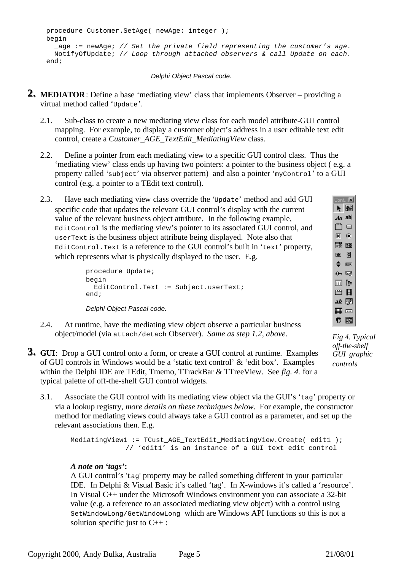```
procedure Customer.SetAge( newAge: integer );
begin
   _age := newAge; // Set the private field representing the customer's age.
  NotifyOfUpdate; // Loop through attached observers & call Update on each.
end;
```
*Delphi Object Pascal code.*

- **2.. MEDIATOR**: Define a base 'mediating view' class that implements Observer providing a virtual method called 'Update'.
	- 2.1. Sub-class to create a new mediating view class for each model attribute-GUI control mapping. For example, to display a customer object's address in a user editable text edit control, create a *Customer\_AGE\_TextEdit\_MediatingView* class.
	- 2.2. Define a pointer from each mediating view to a specific GUI control class. Thus the 'mediating view' class ends up having two pointers: a pointer to the business object ( e.g. a property called 'subject' via observer pattern) and also a pointer 'myControl' to a GUI control (e.g. a pointer to a TEdit text control).
	- 2.3. Have each mediating view class override the 'Update' method and add GUI specific code that updates the relevant GUI control's display with the current value of the relevant business object attribute. In the following example, EditControl is the mediating view's pointer to its associated GUI control, and userText is the business object attribute being displayed. Note also that EditControl.Text is a reference to the GUI control's built in 'text' property, which represents what is physically displayed to the user. E.g.

```
procedure Update;
begin
  EditControl.Text := Subject.userText;
end;
```
*Delphi Object Pascal code.*

- 2.4. At runtime, have the mediating view object observe a particular business object/model (via attach/detach Observer). *Same as step 1.2, above.*
- **3.. GUI**: Drop a GUI control onto a form, or create a GUI control at runtime. Examples of GUI controls in Windows would be a 'static text control' & 'edit box'. Examples within the Delphi IDE are TEdit, Tmemo, TTrackBar & TTreeView. See *fig. 4.* for a typical palette of off-the-shelf GUI control widgets.
	- 3.1. Associate the GUI control with its mediating view object via the GUI's 'tag' property or via a lookup registry, *more details on these techniques below*. For example, the constructor method for mediating views could always take a GUI control as a parameter, and set up the relevant associations then. E.g.

```
MediatingView1 := TCust_AGE_TextEdit_MediatingView.Create( edit1 );
             // 'edit1' is an instance of a GUI text edit control
```
### *A note on 'tags'***:**

A GUI control's 'tag' property may be called something different in your particular IDE. In Delphi & Visual Basic it's called 'tag'. In X-windows it's called a 'resource'. In Visual C++ under the Microsoft Windows environment you can associate a 32-bit value (e.g. a reference to an associated mediating view object) with a control using SetWindowLong/GetWindowLong which are Windows API functions so this is not a solution specific just to C++ :

*Fig 4. Typical off-the-shelf GUI graphic controls*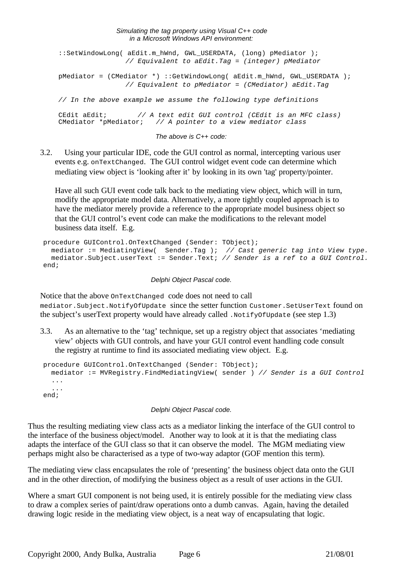#### *Simulating the tag property using Visual C++ code in a Microsoft Windows API environment:*

::SetWindowLong( aEdit.m\_hWnd, GWL\_USERDATA, (long) pMediator ); *// Equivalent to aEdit.Tag = (integer) pMediator* pMediator = (CMediator \*) ::GetWindowLong( aEdit.m\_hWnd, GWL\_USERDATA ); *// Equivalent to pMediator = (CMediator) aEdit.Tag // In the above example we assume the following type definitions* CEdit aEdit; *// A text edit GUI control (CEdit is an MFC class)* CMediator \*pMediator; *// A pointer to a view mediator class The above is C++ code:*

3.2. Using your particular IDE, code the GUI control as normal, intercepting various user events e.g. onTextChanged. The GUI control widget event code can determine which mediating view object is 'looking after it' by looking in its own 'tag' property/pointer.

Have all such GUI event code talk back to the mediating view object, which will in turn, modify the appropriate model data. Alternatively, a more tightly coupled approach is to have the mediator merely provide a reference to the appropriate model business object so that the GUI control's event code can make the modifications to the relevant model business data itself. E.g.

```
procedure GUIControl.OnTextChanged (Sender: TObject);
  mediator := MediatingView( Sender.Tag ); // Cast generic tag into View type.
  mediator.Subject.userText := Sender.Text; // Sender is a ref to a GUI Control.
end;
```
#### *Delphi Object Pascal code.*

Notice that the above OnTextChanged code does not need to call mediator.Subject.NotifyOfUpdate since the setter function Customer.SetUserText found on the subject's userText property would have already called .NotifyOfUpdate (see step 1.3)

3.3. As an alternative to the 'tag' technique, set up a registry object that associates 'mediating view' objects with GUI controls, and have your GUI control event handling code consult the registry at runtime to find its associated mediating view object. E.g.

```
procedure GUIControl.OnTextChanged (Sender: TObject);
  mediator := MVRegistry.FindMediatingView( sender ) // Sender is a GUI Control
   ...
   ...
end;
```
#### *Delphi Object Pascal code.*

Thus the resulting mediating view class acts as a mediator linking the interface of the GUI control to the interface of the business object/model. Another way to look at it is that the mediating class adapts the interface of the GUI class so that it can observe the model. The MGM mediating view perhaps might also be characterised as a type of two-way adaptor (GOF mention this term).

The mediating view class encapsulates the role of 'presenting' the business object data onto the GUI and in the other direction, of modifying the business object as a result of user actions in the GUI.

Where a smart GUI component is not being used, it is entirely possible for the mediating view class to draw a complex series of paint/draw operations onto a dumb canvas. Again, having the detailed drawing logic reside in the mediating view object, is a neat way of encapsulating that logic.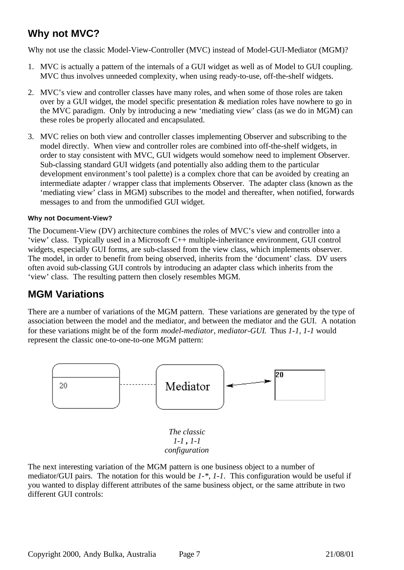# **Why not MVC?**

Why not use the classic Model-View-Controller (MVC) instead of Model-GUI-Mediator (MGM)?

- 1. MVC is actually a pattern of the internals of a GUI widget as well as of Model to GUI coupling. MVC thus involves unneeded complexity, when using ready-to-use, off-the-shelf widgets.
- 2. MVC's view and controller classes have many roles, and when some of those roles are taken over by a GUI widget, the model specific presentation & mediation roles have nowhere to go in the MVC paradigm. Only by introducing a new 'mediating view' class (as we do in MGM) can these roles be properly allocated and encapsulated.
- 3. MVC relies on both view and controller classes implementing Observer and subscribing to the model directly. When view and controller roles are combined into off-the-shelf widgets, in order to stay consistent with MVC, GUI widgets would somehow need to implement Observer. Sub-classing standard GUI widgets (and potentially also adding them to the particular development environment's tool palette) is a complex chore that can be avoided by creating an intermediate adapter / wrapper class that implements Observer. The adapter class (known as the 'mediating view' class in MGM) subscribes to the model and thereafter, when notified, forwards messages to and from the unmodified GUI widget.

### **Why not Document-View?**

The Document-View (DV) architecture combines the roles of MVC's view and controller into a 'view' class. Typically used in a Microsoft C++ multiple-inheritance environment, GUI control widgets, especially GUI forms, are sub-classed from the view class, which implements observer. The model, in order to benefit from being observed, inherits from the 'document' class. DV users often avoid sub-classing GUI controls by introducing an adapter class which inherits from the 'view' class. The resulting pattern then closely resembles MGM.

# **MGM Variations**

There are a number of variations of the MGM pattern. These variations are generated by the type of association between the model and the mediator, and between the mediator and the GUI. A notation for these variations might be of the form *model-mediator, mediator-GUI*. Thus *1-1, 1-1* would represent the classic one-to-one-to-one MGM pattern:



The next interesting variation of the MGM pattern is one business object to a number of mediator/GUI pairs. The notation for this would be *1-\*, 1-1*. This configuration would be useful if you wanted to display different attributes of the same business object, or the same attribute in two different GUI controls: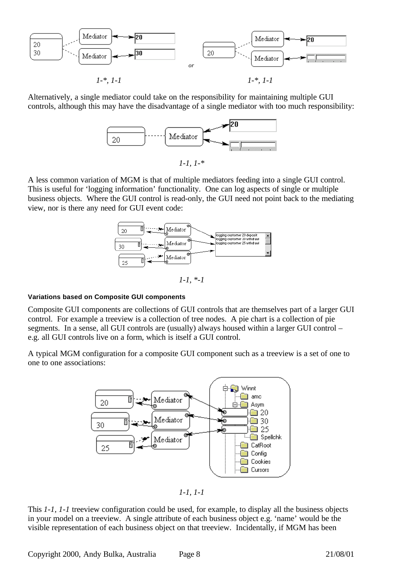

Alternatively, a single mediator could take on the responsibility for maintaining multiple GUI controls, although this may have the disadvantage of a single mediator with too much responsibility:



*1-1, 1-\**

A less common variation of MGM is that of multiple mediators feeding into a single GUI control. This is useful for 'logging information' functionality. One can log aspects of single or multiple business objects. Where the GUI control is read-only, the GUI need not point back to the mediating view, nor is there any need for GUI event code:



*1-1, \*-1*

#### **Variations based on Composite GUI components**

Composite GUI components are collections of GUI controls that are themselves part of a larger GUI control. For example a treeview is a collection of tree nodes. A pie chart is a collection of pie segments. In a sense, all GUI controls are (usually) always housed within a larger GUI control – e.g. all GUI controls live on a form, which is itself a GUI control.

A typical MGM configuration for a composite GUI component such as a treeview is a set of one to one to one associations:



*1-1, 1-1*

This *1-1, 1-1* treeview configuration could be used, for example, to display all the business objects in your model on a treeview. A single attribute of each business object e.g. 'name' would be the visible representation of each business object on that treeview. Incidentally, if MGM has been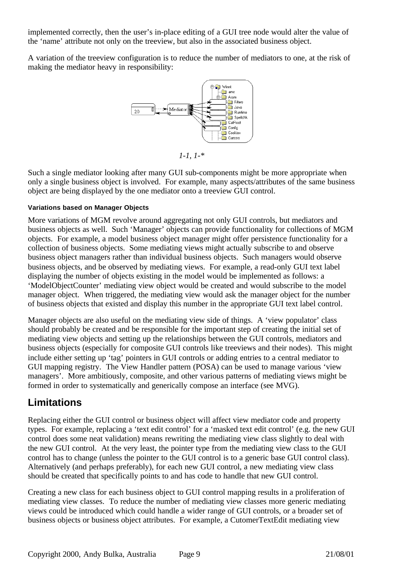implemented correctly, then the user's in-place editing of a GUI tree node would alter the value of the 'name' attribute not only on the treeview, but also in the associated business object.

A variation of the treeview configuration is to reduce the number of mediators to one, at the risk of making the mediator heavy in responsibility:



*1-1, 1-\**

Such a single mediator looking after many GUI sub-components might be more appropriate when only a single business object is involved. For example, many aspects/attributes of the same business object are being displayed by the one mediator onto a treeview GUI control.

#### **Variations based on Manager Objects**

More variations of MGM revolve around aggregating not only GUI controls, but mediators and business objects as well. Such 'Manager' objects can provide functionality for collections of MGM objects. For example, a model business object manager might offer persistence functionality for a collection of business objects. Some mediating views might actually subscribe to and observe business object managers rather than individual business objects. Such managers would observe business objects, and be observed by mediating views. For example, a read-only GUI text label displaying the number of objects existing in the model would be implemented as follows: a 'ModelObjectCounter' mediating view object would be created and would subscribe to the model manager object. When triggered, the mediating view would ask the manager object for the number of business objects that existed and display this number in the appropriate GUI text label control.

Manager objects are also useful on the mediating view side of things. A 'view populator' class should probably be created and be responsible for the important step of creating the initial set of mediating view objects and setting up the relationships between the GUI controls, mediators and business objects (especially for composite GUI controls like treeviews and their nodes). This might include either setting up 'tag' pointers in GUI controls or adding entries to a central mediator to GUI mapping registry. The View Handler pattern (POSA) can be used to manage various 'view managers'. More ambitiously, composite, and other various patterns of mediating views might be formed in order to systematically and generically compose an interface (see MVG).

### **Limitations**

Replacing either the GUI control or business object will affect view mediator code and property types. For example, replacing a 'text edit control' for a 'masked text edit control' (e.g. the new GUI control does some neat validation) means rewriting the mediating view class slightly to deal with the new GUI control. At the very least, the pointer type from the mediating view class to the GUI control has to change (unless the pointer to the GUI control is to a generic base GUI control class). Alternatively (and perhaps preferably), for each new GUI control, a new mediating view class should be created that specifically points to and has code to handle that new GUI control.

Creating a new class for each business object to GUI control mapping results in a proliferation of mediating view classes. To reduce the number of mediating view classes more generic mediating views could be introduced which could handle a wider range of GUI controls, or a broader set of business objects or business object attributes. For example, a CutomerTextEdit mediating view